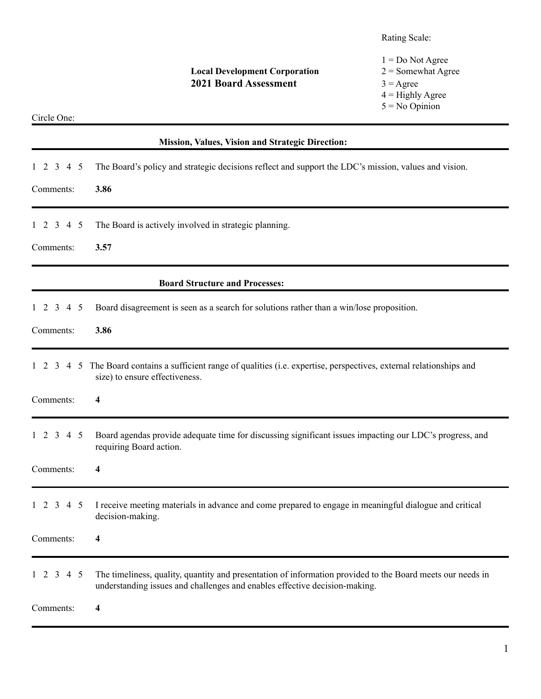Rating Scale:

## **Local Development Corporation 2021 Board Assessment** 3 = Agree

 $1 = Do$  Not Agree<br> $2 = Somewhat$  Agree  $4 =$  Highly Agree  $5 = No$  Opinion

## Circle One:

| Mission, Values, Vision and Strategic Direction: |                                                                                                                                                                                          |  |
|--------------------------------------------------|------------------------------------------------------------------------------------------------------------------------------------------------------------------------------------------|--|
| $1 \t2 \t3 \t4 \t5$                              | The Board's policy and strategic decisions reflect and support the LDC's mission, values and vision.                                                                                     |  |
| Comments:                                        | 3.86                                                                                                                                                                                     |  |
| $1 \t2 \t3 \t4 \t5$                              | The Board is actively involved in strategic planning.                                                                                                                                    |  |
| Comments:                                        | 3.57                                                                                                                                                                                     |  |
| <b>Board Structure and Processes:</b>            |                                                                                                                                                                                          |  |
| 1 2 3 4 5                                        | Board disagreement is seen as a search for solutions rather than a win/lose proposition.                                                                                                 |  |
| Comments:                                        | 3.86                                                                                                                                                                                     |  |
|                                                  | 1 2 3 4 5 The Board contains a sufficient range of qualities (i.e. expertise, perspectives, external relationships and<br>size) to ensure effectiveness.                                 |  |
| Comments:                                        | 4                                                                                                                                                                                        |  |
| $1 \t2 \t3 \t4 \t5$                              | Board agendas provide adequate time for discussing significant issues impacting our LDC's progress, and<br>requiring Board action.                                                       |  |
| Comments:                                        | 4                                                                                                                                                                                        |  |
| $1 \t2 \t3 \t4 \t5$                              | I receive meeting materials in advance and come prepared to engage in meaningful dialogue and critical<br>decision-making.                                                               |  |
| Comments:                                        | 4                                                                                                                                                                                        |  |
| -3<br>- 5<br>-2<br>4                             | The timeliness, quality, quantity and presentation of information provided to the Board meets our needs in<br>understanding issues and challenges and enables effective decision-making. |  |
| Comments:                                        | 4                                                                                                                                                                                        |  |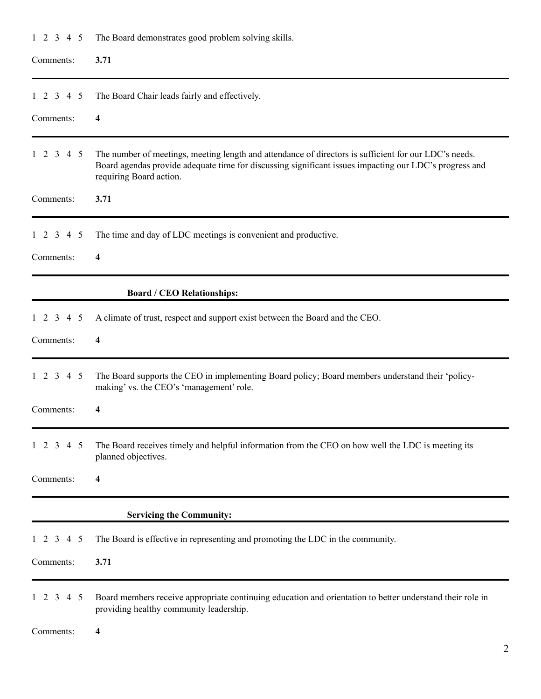| $1 \t2 \t3 \t4 \t5$                                  | The Board demonstrates good problem solving skills.                                                                                                                                                                                        |
|------------------------------------------------------|--------------------------------------------------------------------------------------------------------------------------------------------------------------------------------------------------------------------------------------------|
| Comments:                                            | 3.71                                                                                                                                                                                                                                       |
| $1 \t2 \t3$<br>4 5                                   | The Board Chair leads fairly and effectively.                                                                                                                                                                                              |
| Comments:                                            | $\overline{\mathbf{4}}$                                                                                                                                                                                                                    |
| $1 \t2 \t3 \t4 \t5$                                  | The number of meetings, meeting length and attendance of directors is sufficient for our LDC's needs.<br>Board agendas provide adequate time for discussing significant issues impacting our LDC's progress and<br>requiring Board action. |
| Comments:                                            | 3.71                                                                                                                                                                                                                                       |
| $1 \t2 \t3 \t4 \t5$                                  | The time and day of LDC meetings is convenient and productive.                                                                                                                                                                             |
| Comments:                                            | 4                                                                                                                                                                                                                                          |
|                                                      | <b>Board / CEO Relationships:</b>                                                                                                                                                                                                          |
| 3<br>4 5<br><sup>2</sup>                             | A climate of trust, respect and support exist between the Board and the CEO.                                                                                                                                                               |
| Comments:                                            | 4                                                                                                                                                                                                                                          |
| $3 \t 4 \t 5$<br>2                                   | The Board supports the CEO in implementing Board policy; Board members understand their 'policy-<br>making' vs. the CEO's 'management' role.                                                                                               |
| Comments:                                            | 4                                                                                                                                                                                                                                          |
| 3<br>$\overline{4}$<br>$5\overline{5}$<br>$1\quad 2$ | The Board receives timely and helpful information from the CEO on how well the LDC is meeting its<br>planned objectives.                                                                                                                   |
| Comments:                                            | 4                                                                                                                                                                                                                                          |
|                                                      | <b>Servicing the Community:</b>                                                                                                                                                                                                            |
| 3<br>-5<br>- 2<br>4                                  | The Board is effective in representing and promoting the LDC in the community.                                                                                                                                                             |
| Comments:                                            | 3.71                                                                                                                                                                                                                                       |
| 3<br>4 5<br>1 2                                      | Board members receive appropriate continuing education and orientation to better understand their role in<br>providing healthy community leadership.                                                                                       |
| Comments:                                            | $\overline{\mathbf{4}}$                                                                                                                                                                                                                    |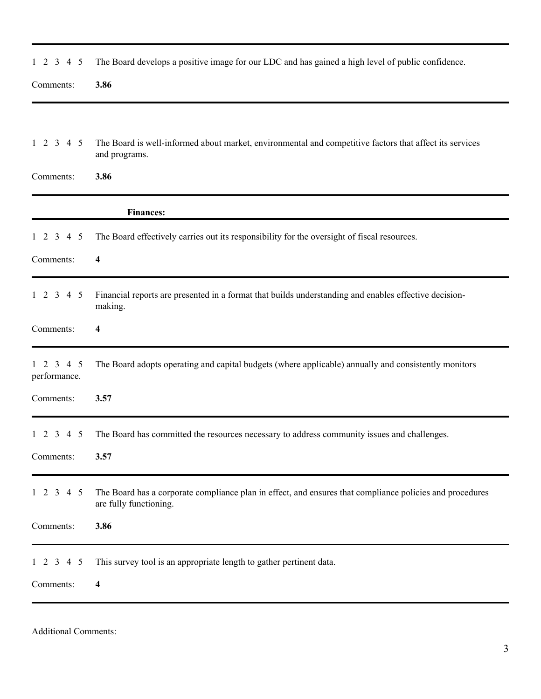| $1 \t2 \t3 \t4 \t5$                           | The Board develops a positive image for our LDC and has gained a high level of public confidence.                                  |
|-----------------------------------------------|------------------------------------------------------------------------------------------------------------------------------------|
| Comments:                                     | 3.86                                                                                                                               |
|                                               |                                                                                                                                    |
| $1 \t2 \t3 \t4 \t5$                           | The Board is well-informed about market, environmental and competitive factors that affect its services<br>and programs.           |
| Comments:                                     | 3.86                                                                                                                               |
|                                               | <b>Finances:</b>                                                                                                                   |
| $1 \t2 \t3 \t4 \t5$                           | The Board effectively carries out its responsibility for the oversight of fiscal resources.                                        |
| Comments:                                     | $\overline{\mathbf{4}}$                                                                                                            |
| $1 \t2 \t3 \t4 \t5$                           | Financial reports are presented in a format that builds understanding and enables effective decision-<br>making.                   |
| Comments:                                     | $\overline{\mathbf{4}}$                                                                                                            |
| 3<br>$\overline{4}$<br>5<br>2<br>performance. | The Board adopts operating and capital budgets (where applicable) annually and consistently monitors                               |
| Comments:                                     | 3.57                                                                                                                               |
| $1 \t2 \t3 \t4 \t5$                           | The Board has committed the resources necessary to address community issues and challenges.                                        |
| Comments:                                     | 3.57                                                                                                                               |
| 3<br>4 5<br>12                                | The Board has a corporate compliance plan in effect, and ensures that compliance policies and procedures<br>are fully functioning. |
| Comments:                                     | 3.86                                                                                                                               |
| $\overline{4}$<br>$1\quad 2$<br>3<br>-5       | This survey tool is an appropriate length to gather pertinent data.                                                                |
| Comments:                                     | $\overline{\mathbf{4}}$                                                                                                            |